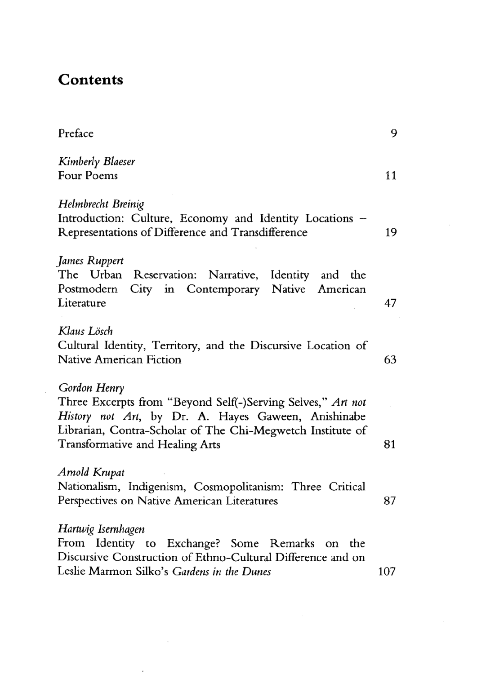## **Contents**

| Preface                                                                                                                                                                                                                             | 9   |
|-------------------------------------------------------------------------------------------------------------------------------------------------------------------------------------------------------------------------------------|-----|
| Kimberly Blaeser<br>Four Poems                                                                                                                                                                                                      | 11  |
| Helmbrecht Breinig<br>Introduction: Culture, Economy and Identity Locations -<br>Representations of Difference and Transdifference                                                                                                  | 19  |
| James Ruppert<br>The Urban Reservation: Narrative, Identity and the<br>Postmodern City in Contemporary Native American<br>Literature                                                                                                | 47  |
| Klaus Lösch<br>Cultural Identity, Territory, and the Discursive Location of<br>Native American Fiction                                                                                                                              | 63  |
| Gordon Henry<br>Three Excerpts from "Beyond Self(-)Serving Selves," Art not<br>History not Art, by Dr. A. Hayes Gaween, Anishinabe<br>Librarian, Contra-Scholar of The Chi-Megwetch Institute of<br>Transformative and Healing Arts | 81  |
| Arnold Krupat<br>Nationalism, Indigenism, Cosmopolitanism: Three Critical<br>Perspectives on Native American Literatures                                                                                                            | 87  |
| Hartwig Isernhagen<br>From Identity to Exchange? Some Remarks on the<br>Discursive Construction of Ethno-Cultural Difference and on<br>Leslie Marmon Silko's Gardens in the Dunes                                                   | 107 |